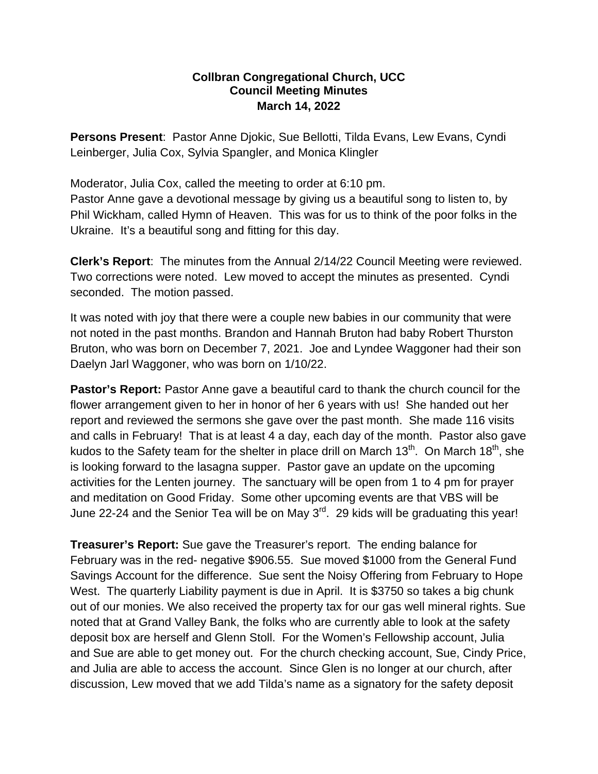## **Collbran Congregational Church, UCC Council Meeting Minutes March 14, 2022**

**Persons Present**: Pastor Anne Djokic, Sue Bellotti, Tilda Evans, Lew Evans, Cyndi Leinberger, Julia Cox, Sylvia Spangler, and Monica Klingler

Moderator, Julia Cox, called the meeting to order at 6:10 pm. Pastor Anne gave a devotional message by giving us a beautiful song to listen to, by Phil Wickham, called Hymn of Heaven. This was for us to think of the poor folks in the Ukraine. It's a beautiful song and fitting for this day.

**Clerk's Report**: The minutes from the Annual 2/14/22 Council Meeting were reviewed. Two corrections were noted. Lew moved to accept the minutes as presented. Cyndi seconded. The motion passed.

It was noted with joy that there were a couple new babies in our community that were not noted in the past months. Brandon and Hannah Bruton had baby Robert Thurston Bruton, who was born on December 7, 2021. Joe and Lyndee Waggoner had their son Daelyn Jarl Waggoner, who was born on 1/10/22.

**Pastor's Report:** Pastor Anne gave a beautiful card to thank the church council for the flower arrangement given to her in honor of her 6 years with us! She handed out her report and reviewed the sermons she gave over the past month. She made 116 visits and calls in February! That is at least 4 a day, each day of the month. Pastor also gave kudos to the Safety team for the shelter in place drill on March  $13<sup>th</sup>$ . On March  $18<sup>th</sup>$ , she is looking forward to the lasagna supper. Pastor gave an update on the upcoming activities for the Lenten journey. The sanctuary will be open from 1 to 4 pm for prayer and meditation on Good Friday. Some other upcoming events are that VBS will be June 22-24 and the Senior Tea will be on May 3<sup>rd</sup>. 29 kids will be graduating this year!

**Treasurer's Report:** Sue gave the Treasurer's report. The ending balance for February was in the red- negative \$906.55. Sue moved \$1000 from the General Fund Savings Account for the difference. Sue sent the Noisy Offering from February to Hope West. The quarterly Liability payment is due in April. It is \$3750 so takes a big chunk out of our monies. We also received the property tax for our gas well mineral rights. Sue noted that at Grand Valley Bank, the folks who are currently able to look at the safety deposit box are herself and Glenn Stoll. For the Women's Fellowship account, Julia and Sue are able to get money out. For the church checking account, Sue, Cindy Price, and Julia are able to access the account. Since Glen is no longer at our church, after discussion, Lew moved that we add Tilda's name as a signatory for the safety deposit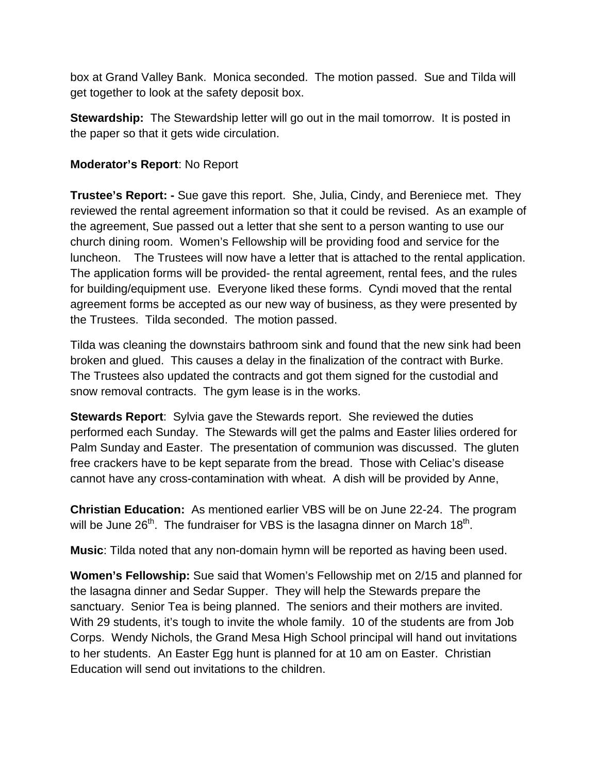box at Grand Valley Bank. Monica seconded. The motion passed. Sue and Tilda will get together to look at the safety deposit box.

**Stewardship:** The Stewardship letter will go out in the mail tomorrow. It is posted in the paper so that it gets wide circulation.

## **Moderator's Report**: No Report

**Trustee's Report: -** Sue gave this report. She, Julia, Cindy, and Bereniece met. They reviewed the rental agreement information so that it could be revised. As an example of the agreement, Sue passed out a letter that she sent to a person wanting to use our church dining room. Women's Fellowship will be providing food and service for the luncheon. The Trustees will now have a letter that is attached to the rental application. The application forms will be provided- the rental agreement, rental fees, and the rules for building/equipment use. Everyone liked these forms. Cyndi moved that the rental agreement forms be accepted as our new way of business, as they were presented by the Trustees. Tilda seconded. The motion passed.

Tilda was cleaning the downstairs bathroom sink and found that the new sink had been broken and glued. This causes a delay in the finalization of the contract with Burke. The Trustees also updated the contracts and got them signed for the custodial and snow removal contracts. The gym lease is in the works.

**Stewards Report**: Sylvia gave the Stewards report. She reviewed the duties performed each Sunday. The Stewards will get the palms and Easter lilies ordered for Palm Sunday and Easter. The presentation of communion was discussed. The gluten free crackers have to be kept separate from the bread. Those with Celiac's disease cannot have any cross-contamination with wheat. A dish will be provided by Anne,

**Christian Education:** As mentioned earlier VBS will be on June 22-24. The program will be June  $26<sup>th</sup>$ . The fundraiser for VBS is the lasagna dinner on March  $18<sup>th</sup>$ .

**Music**: Tilda noted that any non-domain hymn will be reported as having been used.

**Women's Fellowship:** Sue said that Women's Fellowship met on 2/15 and planned for the lasagna dinner and Sedar Supper. They will help the Stewards prepare the sanctuary. Senior Tea is being planned. The seniors and their mothers are invited. With 29 students, it's tough to invite the whole family. 10 of the students are from Job Corps. Wendy Nichols, the Grand Mesa High School principal will hand out invitations to her students. An Easter Egg hunt is planned for at 10 am on Easter. Christian Education will send out invitations to the children.